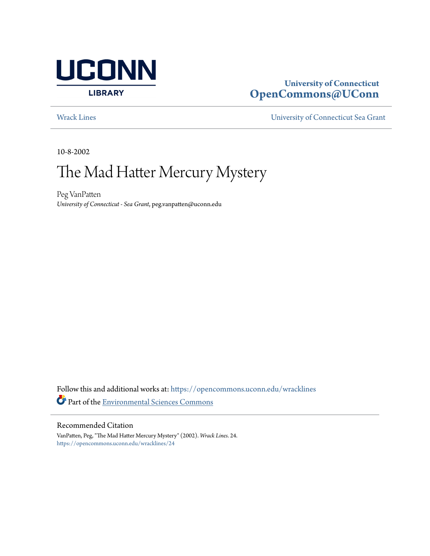

## **University of Connecticut [OpenCommons@UConn](https://opencommons.uconn.edu?utm_source=opencommons.uconn.edu%2Fwracklines%2F24&utm_medium=PDF&utm_campaign=PDFCoverPages)**

[Wrack Lines](https://opencommons.uconn.edu/wracklines?utm_source=opencommons.uconn.edu%2Fwracklines%2F24&utm_medium=PDF&utm_campaign=PDFCoverPages) [University of Connecticut Sea Grant](https://opencommons.uconn.edu/seagrant?utm_source=opencommons.uconn.edu%2Fwracklines%2F24&utm_medium=PDF&utm_campaign=PDFCoverPages)

10-8-2002

# The Mad Hatter Mercury Mystery

Peg VanPatten *University of Connecticut - Sea Grant*, peg.vanpatten@uconn.edu

Follow this and additional works at: [https://opencommons.uconn.edu/wracklines](https://opencommons.uconn.edu/wracklines?utm_source=opencommons.uconn.edu%2Fwracklines%2F24&utm_medium=PDF&utm_campaign=PDFCoverPages) Part of the [Environmental Sciences Commons](http://network.bepress.com/hgg/discipline/167?utm_source=opencommons.uconn.edu%2Fwracklines%2F24&utm_medium=PDF&utm_campaign=PDFCoverPages)

#### Recommended Citation

VanPatten, Peg, "The Mad Hatter Mercury Mystery" (2002). *Wrack Lines*. 24. [https://opencommons.uconn.edu/wracklines/24](https://opencommons.uconn.edu/wracklines/24?utm_source=opencommons.uconn.edu%2Fwracklines%2F24&utm_medium=PDF&utm_campaign=PDFCoverPages)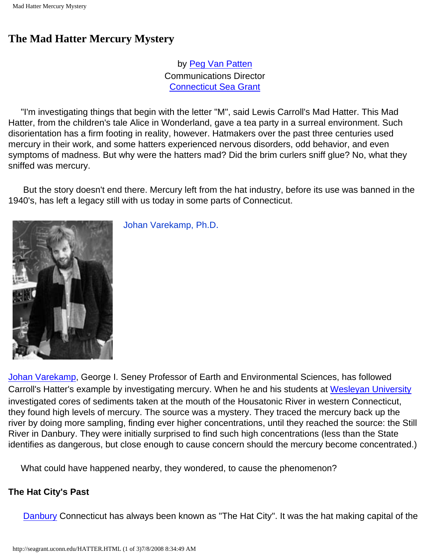## **The Mad Hatter Mercury Mystery**

by [Peg Van Patten](mailto:vanpatte@uconnvm.uconn.edu) Communications Director [Connecticut Sea Grant](http://seagrant.uconn.edu/index.htm)

 "I'm investigating things that begin with the letter "M", said Lewis Carroll's Mad Hatter. This Mad Hatter, from the children's tale Alice in Wonderland, gave a tea party in a surreal environment. Such disorientation has a firm footing in reality, however. Hatmakers over the past three centuries used mercury in their work, and some hatters experienced nervous disorders, odd behavior, and even symptoms of madness. But why were the hatters mad? Did the brim curlers sniff glue? No, what they sniffed was mercury.

 But the story doesn't end there. Mercury left from the hat industry, before its use was banned in the 1940's, has left a legacy still with us today in some parts of Connecticut.



Johan Varekamp, Ph.D.

[Johan Varekamp](mailto:jvarekamp@wesleyan.edu), George I. Seney Professor of Earth and Environmental Sciences, has followed Carroll's Hatter's example by investigating mercury. When he and his students at [Wesleyan University](http://www.wesleyan.edu/) investigated cores of sediments taken at the mouth of the Housatonic River in western Connecticut, they found high levels of mercury. The source was a mystery. They traced the mercury back up the river by doing more sampling, finding ever higher concentrations, until they reached the source: the Still River in Danbury. They were initially surprised to find such high concentrations (less than the State identifies as dangerous, but close enough to cause concern should the mercury become concentrated.)

What could have happened nearby, they wondered, to cause the phenomenon?

## **The Hat City's Past**

[Danbury](http://www.danburyhistorical.org/) Connecticut has always been known as "The Hat City". It was the hat making capital of the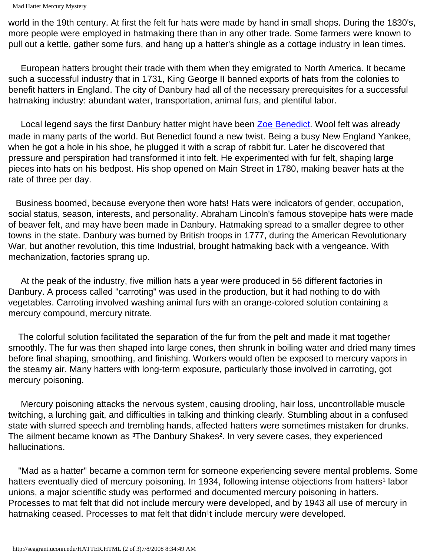```
Mad Hatter Mercury Mystery
```
world in the 19th century. At first the felt fur hats were made by hand in small shops. During the 1830's, more people were employed in hatmaking there than in any other trade. Some farmers were known to pull out a kettle, gather some furs, and hang up a hatter's shingle as a cottage industry in lean times.

 European hatters brought their trade with them when they emigrated to North America. It became such a successful industry that in 1731, King George II banned exports of hats from the colonies to benefit hatters in England. The city of Danbury had all of the necessary prerequisites for a successful hatmaking industry: abundant water, transportation, animal furs, and plentiful labor.

 Local legend says the first Danbury hatter might have been [Zoe Benedict.](http://seagrant.uconn.edu/www.danburyhistorical.org) Wool felt was already made in many parts of the world. But Benedict found a new twist. Being a busy New England Yankee, when he got a hole in his shoe, he plugged it with a scrap of rabbit fur. Later he discovered that pressure and perspiration had transformed it into felt. He experimented with fur felt, shaping large pieces into hats on his bedpost. His shop opened on Main Street in 1780, making beaver hats at the rate of three per day.

 Business boomed, because everyone then wore hats! Hats were indicators of gender, occupation, social status, season, interests, and personality. Abraham Lincoln's famous stovepipe hats were made of beaver felt, and may have been made in Danbury. Hatmaking spread to a smaller degree to other towns in the state. Danbury was burned by British troops in 1777, during the American Revolutionary War, but another revolution, this time Industrial, brought hatmaking back with a vengeance. With mechanization, factories sprang up.

 At the peak of the industry, five million hats a year were produced in 56 different factories in Danbury. A process called "carroting" was used in the production, but it had nothing to do with vegetables. Carroting involved washing animal furs with an orange-colored solution containing a mercury compound, mercury nitrate.

 The colorful solution facilitated the separation of the fur from the pelt and made it mat together smoothly. The fur was then shaped into large cones, then shrunk in boiling water and dried many times before final shaping, smoothing, and finishing. Workers would often be exposed to mercury vapors in the steamy air. Many hatters with long-term exposure, particularly those involved in carroting, got mercury poisoning.

 Mercury poisoning attacks the nervous system, causing drooling, hair loss, uncontrollable muscle twitching, a lurching gait, and difficulties in talking and thinking clearly. Stumbling about in a confused state with slurred speech and trembling hands, affected hatters were sometimes mistaken for drunks. The ailment became known as <sup>3</sup>The Danbury Shakes<sup>2</sup>. In very severe cases, they experienced hallucinations.

 "Mad as a hatter" became a common term for someone experiencing severe mental problems. Some hatters eventually died of mercury poisoning. In 1934, following intense objections from hatters<sup>1</sup> labor unions, a major scientific study was performed and documented mercury poisoning in hatters. Processes to mat felt that did not include mercury were developed, and by 1943 all use of mercury in hatmaking ceased. Processes to mat felt that didn<sup>1</sup>t include mercury were developed.